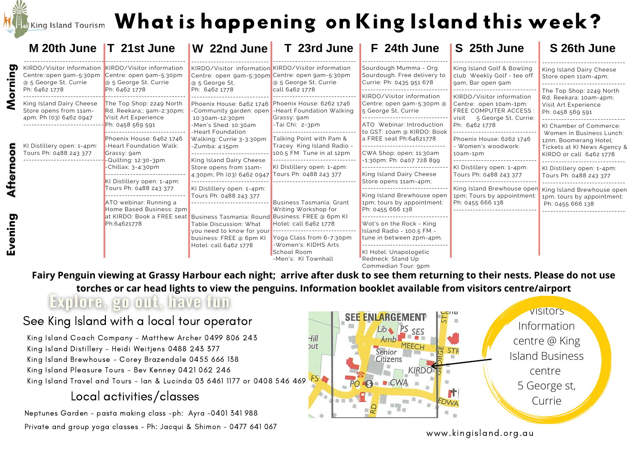## If  $\epsilon$ King Island Tourism  $\,$  What is happening on King Island this week?

|        | M 20th June T 21st June                                                                                 |                                                                                                                    | W 22nd June                                                                                                                              | T 23rd June                                                                                            | F 24th June                                                                                                                                 | S 25th June                                                                                                                            | S 26th June                                                                                                                          |
|--------|---------------------------------------------------------------------------------------------------------|--------------------------------------------------------------------------------------------------------------------|------------------------------------------------------------------------------------------------------------------------------------------|--------------------------------------------------------------------------------------------------------|---------------------------------------------------------------------------------------------------------------------------------------------|----------------------------------------------------------------------------------------------------------------------------------------|--------------------------------------------------------------------------------------------------------------------------------------|
| O.     | KIRDO/Visitor information KIRDO/Visitor information<br>Centre::open gam-5:30pm<br>@ 5 George St, Currie | Centre: open gam-5:30pm<br>a 5 George St, Currie                                                                   | KIRDO/Visitor information KIRDO/Visitor information<br>Centre: open gam-5:30pm Centre: open gam-5:30pm<br>a 5 George St.                 | @ 5 George St, Currie<br>call 6462 1778<br>-Heart Foundation Walking<br>Grassy: 9am<br>-Tai Chi: 2-3pm | Sourdough Mumma - Org.<br>Sourdough. Free delivery to<br>Currie: Ph: 0435 951 678                                                           | King Island Golf & Bowling<br>club Weekly Golf - tee off<br>gam; Bar open gam                                                          | King Island Dairy Cheese<br>Store open 11am-4pm;                                                                                     |
|        | Ph: 6462 1778<br>King Island Dairy Cheese<br>Store opens from 11am-<br>4pm; Ph (03) 6462 0947           | Ph: 6462 1778<br>The Top Shop: 2249 North<br>Rd, Reekara;; 9am-2:30pm;<br>Visit Art Experience<br>Ph: 0458 569 591 | Ph: 6462 1778<br>Phoenix House: 6462 1746 Phoenix House: 6262 1746<br>-Community garden: open<br>10:30am-12:30pm<br>-Men's Shed: 10:30am |                                                                                                        | KIRDO/Visitor information<br>Centre: open gam-5:30pm @<br>5 George St, Currie<br>-----------------------------<br>ATO Webinar: Introduction | KIRDO/Visitor information<br>Centre: open 10am-1pm:<br><b>FREE COMPUTER ACCESS</b><br>5 George St, Currie:<br>  visit<br>Ph: 6462 1778 | The Top Shop: 2249 North<br>Rd, Reekara; 10am-4pm;<br>Visit Art Experience<br>Ph: 0458 569 591<br>KI Chamber of Commerce:            |
| vening | KI Distillery open: 1-4pm:<br>Tours Ph: 0488 243 377                                                    | Phoenix House: 6462 1746<br>-Heart Foundation Walk:<br>Grassy: 9am<br>-Quilting: 12:30-3pm                         | -Heart Foundation<br>Walking: Currie 3-3:30pm<br>-Zumba: 4:15pm<br>King Island Dairy Cheese                                              | Talking Point with Pam &<br>Tracey King Island Radio -<br>100.5 FM Tune in at 12pm                     | to GST: 10am @ KIRDO: Book<br>a FREE seat Ph:64621778<br>CWA Shop; open; 11:30am<br>-1:30pm: Ph: 0407 728 899                               | Phoenix House: 6262 1746<br>- Women's woodwork:<br>10am-1pm                                                                            | Women in Business Lunch:<br>12nn; Boomerang Hotel;<br>Tickets at KI News Agency &<br>KIRDO or call 6462 1778                         |
|        |                                                                                                         | -Chillax; 3-4:30pm<br>KI Distillery open: 1-4pm:                                                                   | Store opens from 11am-<br>4:30pm; Ph (03) 6462 0947 Tours Ph: 0488 243 377                                                               | KI Distillery open: 1-4pm:<br><b>Business Tasmania: Grant</b><br>Writing Workshop for                  | King Island Dairy Cheese<br>Store opens 11am-4pm;                                                                                           | KI Distillery open: 1-4pm:<br>Tours Ph: 0488 243 377                                                                                   | KI Distillery open: 1-4pm:<br>Tours Ph: 0488 243 377<br>King Island Brewhouse open<br>1pm; tours by appointment:<br>Ph: 0455 666 138 |
|        |                                                                                                         | Tours Ph: 0488 243 377<br>ATO webinar: Running a<br>Home Based Business: 2pm                                       | KI Distillery open: 1-4pm:<br>Tours Ph: 0488 243 377                                                                                     |                                                                                                        | King Island Brewhouse open<br>1pm; tours by appointment:<br>Ph: 0455 666 138                                                                | King Island Brewhouse open<br>1pm; Tours by appointment<br>Ph: 0455 666 138                                                            |                                                                                                                                      |
|        |                                                                                                         | at KIRDO: Book a FREE seat Business Tasmania: Round Business: FREE @ 6pm KI<br>Ph:64621778                         | Table Discussion: What<br>you need to know for your<br>business: FREE @ 6pm KI<br>Hotel: call 6462 1778                                  | Hotel: call 6462 1778<br>Yoga Class from 6-7:30pm<br>-Women's: KIDHS Arts                              | Wot's on the Rock - King<br>Island Radio - 100.5 FM -<br>tune in between 2pm-4pm.                                                           |                                                                                                                                        |                                                                                                                                      |
|        |                                                                                                         |                                                                                                                    |                                                                                                                                          | School Room<br>-Men's: KI Townhall                                                                     | KI Hotel: Unapologetic<br>Redneck: Stand Up<br>Commedian Tour: 9pm                                                                          |                                                                                                                                        |                                                                                                                                      |

Fairy Penguin viewing at Grassy Harbour each night; arrive after dusk to see them returning to their nests. Please do not use **torches or car head lights to view the penguins. Information booklet available from visitors centre/airport**

## Explore, go out, have fun

## See King Island with a local tour operator

King Island Coach Company - Matthew Archer 0499 806 243 King Island Distillery - Heidi Weitjens 0488 243 377 King Island Brewhouse - Corey Brazendale 0455 666 138 King Island Pleasure Tours - Bev Kenney 0421 062 246 King Island Travel and Tours – Ian & Lucinda 03 6461 1177 or 0408 546 469 FS

## Local activities/classes

Neptunes Garden - pasta making class -ph: Ayra -0401 341 988 Private and group yoga classes - Ph: Jacqui & Shimon - 0477 641 067



www.kingisland.org.au